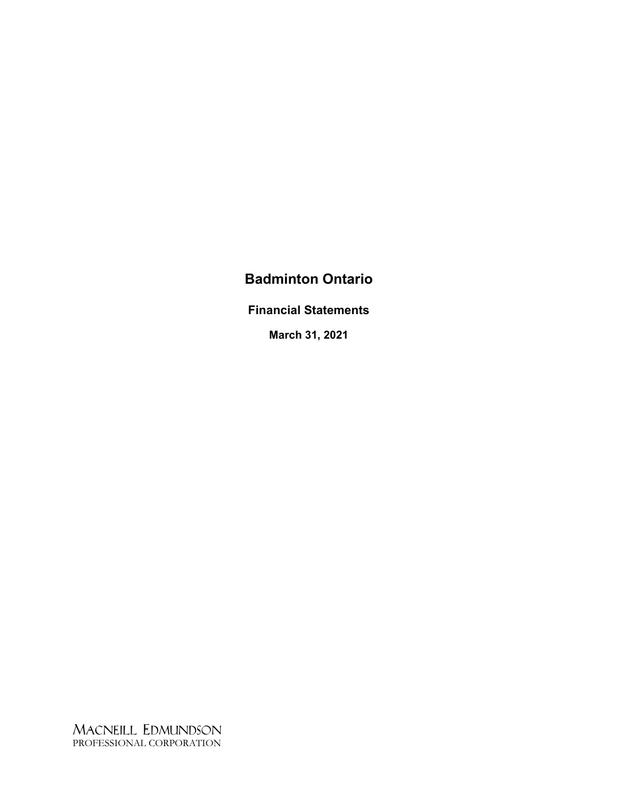**Financial Statements**

**March 31, 2021**

MACNEILL EDMUNDSON PROFESSIONAL CORPORATION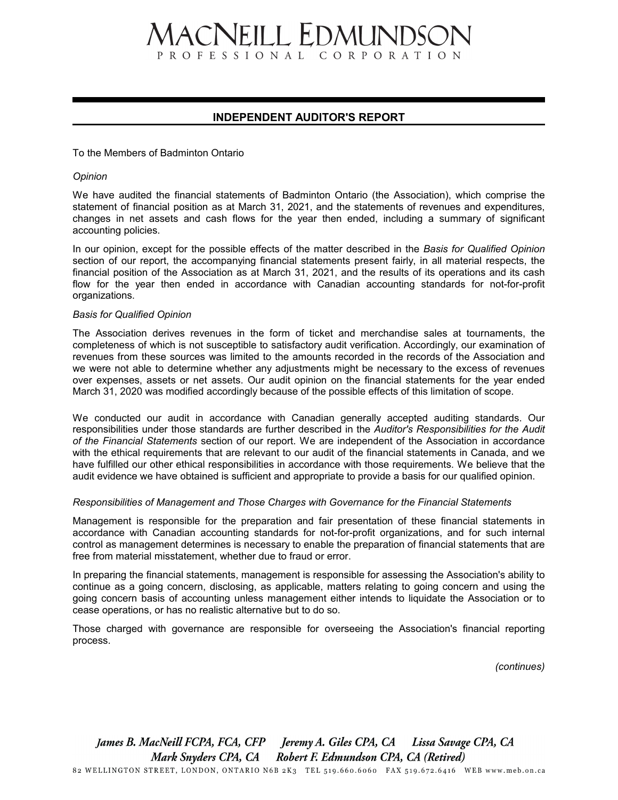# **IACNEILL EDMUNDSON** PROFESSIONAL CORPORATION

#### **INDEPENDENT AUDITOR'S REPORT**

#### To the Members of Badminton Ontario

#### *Opinion*

We have audited the financial statements of Badminton Ontario (the Association), which comprise the statement of financial position as at March 31, 2021, and the statements of revenues and expenditures, changes in net assets and cash flows for the year then ended, including a summary of significant accounting policies.

In our opinion, except for the possible effects of the matter described in the *Basis for Qualified Opinion* section of our report, the accompanying financial statements present fairly, in all material respects, the financial position of the Association as at March 31, 2021, and the results of its operations and its cash flow for the year then ended in accordance with Canadian accounting standards for not-for-profit organizations.

#### *Basis for Qualified Opinion*

The Association derives revenues in the form of ticket and merchandise sales at tournaments, the completeness of which is not susceptible to satisfactory audit verification. Accordingly, our examination of revenues from these sources was limited to the amounts recorded in the records of the Association and we were not able to determine whether any adjustments might be necessary to the excess of revenues over expenses, assets or net assets. Our audit opinion on the financial statements for the year ended March 31, 2020 was modified accordingly because of the possible effects of this limitation of scope.

We conducted our audit in accordance with Canadian generally accepted auditing standards. Our responsibilities under those standards are further described in the *Auditor's Responsibilities for the Audit of the Financial Statements* section of our report. We are independent of the Association in accordance with the ethical requirements that are relevant to our audit of the financial statements in Canada, and we have fulfilled our other ethical responsibilities in accordance with those requirements. We believe that the audit evidence we have obtained is sufficient and appropriate to provide a basis for our qualified opinion.

#### *Responsibilities of Management and Those Charges with Governance for the Financial Statements*

Management is responsible for the preparation and fair presentation of these financial statements in accordance with Canadian accounting standards for not-for-profit organizations, and for such internal control as management determines is necessary to enable the preparation of financial statements that are free from material misstatement, whether due to fraud or error.

In preparing the financial statements, management is responsible for assessing the Association's ability to continue as a going concern, disclosing, as applicable, matters relating to going concern and using the going concern basis of accounting unless management either intends to liquidate the Association or to cease operations, or has no realistic alternative but to do so.

Those charged with governance are responsible for overseeing the Association's financial reporting process.

*(continues)*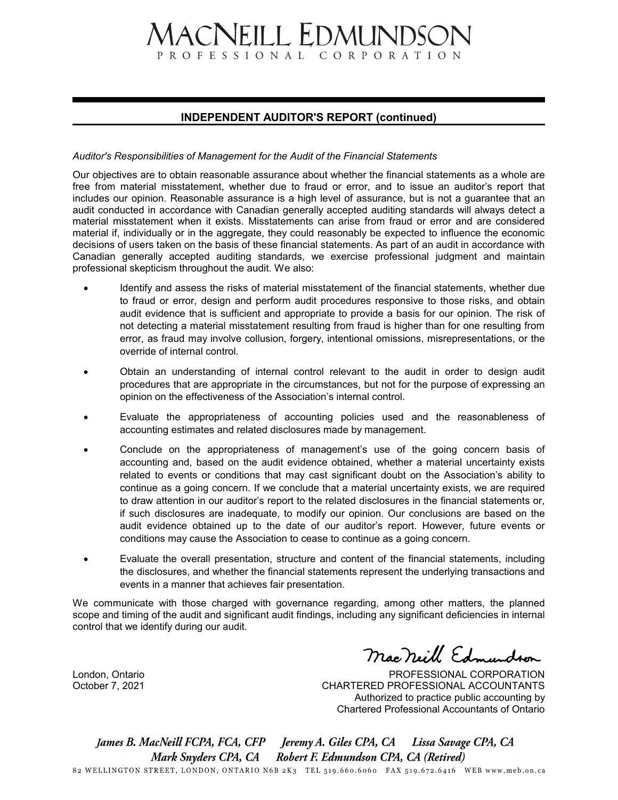# **1ACNEILL EDMUNDSON** PROFESSIONAL CORPORATION

#### **INDEPENDENT AUDITOR'S REPORT (continued)**

#### *Auditor's Responsibilities of Management for the Audit of the Financial Statements*

Our objectives are to obtain reasonable assurance about whether the financial statements as a whole are free from material misstatement, whether due to fraud or error, and to issue an auditor's report that includes our opinion. Reasonable assurance is a high level of assurance, but is not a guarantee that an audit conducted in accordance with Canadian generally accepted auditing standards will always detect a material misstatement when it exists. Misstatements can arise from fraud or error and are considered material if, individually or in the aggregate, they could reasonably be expected to influence the economic decisions of users taken on the basis of these financial statements. As part of an audit in accordance with Canadian generally accepted auditing standards, we exercise professional judgment and maintain professional skepticism throughout the audit. We also:

- Identify and assess the risks of material misstatement of the financial statements, whether due to fraud or error, design and perform audit procedures responsive to those risks, and obtain audit evidence that is sufficient and appropriate to provide a basis for our opinion. The risk of not detecting a material misstatement resulting from fraud is higher than for one resulting from error, as fraud may involve collusion, forgery, intentional omissions, misrepresentations, or the override of internal control.
- Obtain an understanding of internal control relevant to the audit in order to design audit procedures that are appropriate in the circumstances, but not for the purpose of expressing an opinion on the effectiveness of the Association's internal control.
- Evaluate the appropriateness of accounting policies used and the reasonableness of accounting estimates and related disclosures made by management.
- Conclude on the appropriateness of management's use of the going concern basis of accounting and, based on the audit evidence obtained, whether a material uncertainty exists related to events or conditions that may cast significant doubt on the Association's ability to continue as a going concern. If we conclude that a material uncertainty exists, we are required to draw attention in our auditor's report to the related disclosures in the financial statements or, if such disclosures are inadequate, to modify our opinion. Our conclusions are based on the audit evidence obtained up to the date of our auditor's report. However, future events or conditions may cause the Association to cease to continue as a going concern.
- Evaluate the overall presentation, structure and content of the financial statements, including the disclosures, and whether the financial statements represent the underlying transactions and events in a manner that achieves fair presentation.

We communicate with those charged with governance regarding, among other matters, the planned scope and timing of the audit and significant audit findings, including any significant deficiencies in internal control that we identify during our audit.

London, Ontario October 7, 2021

Mac Neill Edmunds

PROFESSIONAL CORPORATION CHARTERED PROFESSIONAL ACCOUNTANTS Authorized to practice public accounting by Chartered Professional Accountants of Ontario

Lissa Savage CPA, CA Mark Snyders CPA, CA Robert F. Edmundson CPA, CA (Retired) 82 WELLINGTON STREET, LONDON, ONTARIO N6B 2K3 TEL 519.660.6060 FAX 519.672.6416 WEB www.meb.on.ca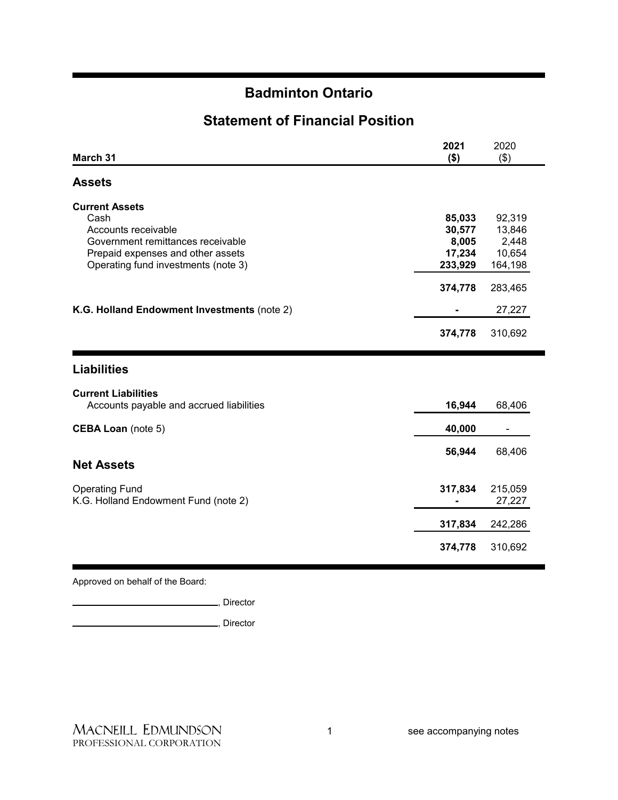### **Statement of Financial Position**

| March 31                                                                                                                                                              | 2021<br>$($ \$)                                | 2020<br>(3)                                    |
|-----------------------------------------------------------------------------------------------------------------------------------------------------------------------|------------------------------------------------|------------------------------------------------|
| <b>Assets</b>                                                                                                                                                         |                                                |                                                |
| <b>Current Assets</b><br>Cash<br>Accounts receivable<br>Government remittances receivable<br>Prepaid expenses and other assets<br>Operating fund investments (note 3) | 85,033<br>30,577<br>8,005<br>17,234<br>233,929 | 92,319<br>13,846<br>2,448<br>10,654<br>164,198 |
|                                                                                                                                                                       | 374,778                                        | 283,465                                        |
| K.G. Holland Endowment Investments (note 2)                                                                                                                           |                                                | 27,227                                         |
|                                                                                                                                                                       | 374,778                                        | 310,692                                        |
| <b>Liabilities</b>                                                                                                                                                    |                                                |                                                |
| <b>Current Liabilities</b><br>Accounts payable and accrued liabilities                                                                                                | 16,944                                         | 68,406                                         |
| <b>CEBA Loan</b> (note 5)                                                                                                                                             | 40,000                                         |                                                |
| <b>Net Assets</b>                                                                                                                                                     | 56,944                                         | 68,406                                         |
| <b>Operating Fund</b><br>K.G. Holland Endowment Fund (note 2)                                                                                                         | 317,834                                        | 215,059<br>27,227                              |
|                                                                                                                                                                       | 317,834                                        | 242,286                                        |
|                                                                                                                                                                       | 374,778                                        | 310,692                                        |

Approved on behalf of the Board:

**Marshall**, Director

**Marshall**, Director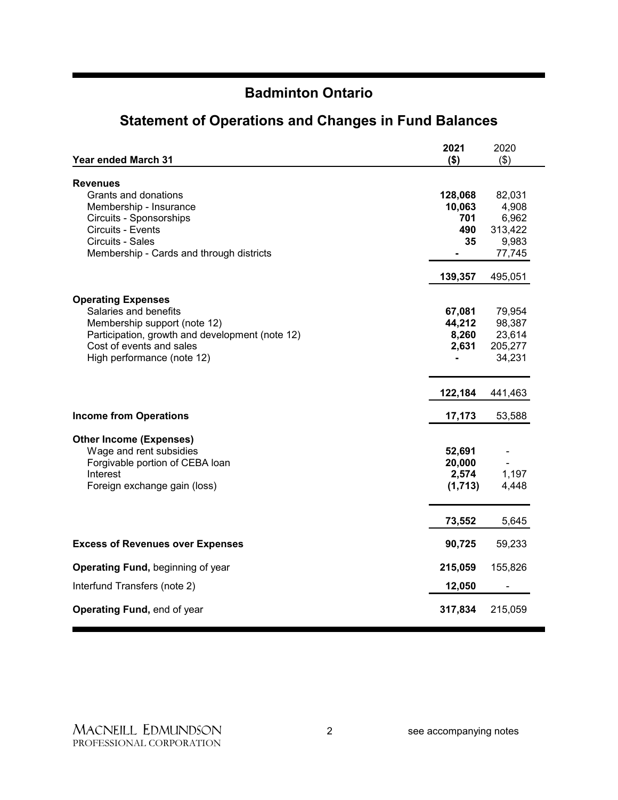| <b>Year ended March 31</b>                                                                                                                                                                      | 2021<br>$($ \$)                       | 2020<br>(3)                                            |
|-------------------------------------------------------------------------------------------------------------------------------------------------------------------------------------------------|---------------------------------------|--------------------------------------------------------|
| <b>Revenues</b><br>Grants and donations<br>Membership - Insurance<br>Circuits - Sponsorships<br>Circuits - Events<br>Circuits - Sales<br>Membership - Cards and through districts               | 128,068<br>10,063<br>701<br>490<br>35 | 82,031<br>4,908<br>6,962<br>313,422<br>9,983<br>77,745 |
|                                                                                                                                                                                                 | 139,357                               | 495,051                                                |
| <b>Operating Expenses</b><br>Salaries and benefits<br>Membership support (note 12)<br>Participation, growth and development (note 12)<br>Cost of events and sales<br>High performance (note 12) | 67,081<br>44,212<br>8,260<br>2,631    | 79,954<br>98,387<br>23,614<br>205,277<br>34,231        |
|                                                                                                                                                                                                 | 122,184                               | 441,463                                                |
| <b>Income from Operations</b>                                                                                                                                                                   | 17,173                                | 53,588                                                 |
| <b>Other Income (Expenses)</b><br>Wage and rent subsidies<br>Forgivable portion of CEBA loan<br>Interest<br>Foreign exchange gain (loss)                                                        | 52,691<br>20,000<br>2,574<br>(1,713)  | 1,197<br>4,448                                         |
|                                                                                                                                                                                                 | 73,552                                | 5,645                                                  |
| <b>Excess of Revenues over Expenses</b>                                                                                                                                                         | 90,725                                | 59,233                                                 |
| Operating Fund, beginning of year                                                                                                                                                               | 215,059                               | 155,826                                                |
| Interfund Transfers (note 2)                                                                                                                                                                    | 12,050                                |                                                        |
| Operating Fund, end of year                                                                                                                                                                     | 317,834                               | 215,059                                                |

# **Statement of Operations and Changes in Fund Balances**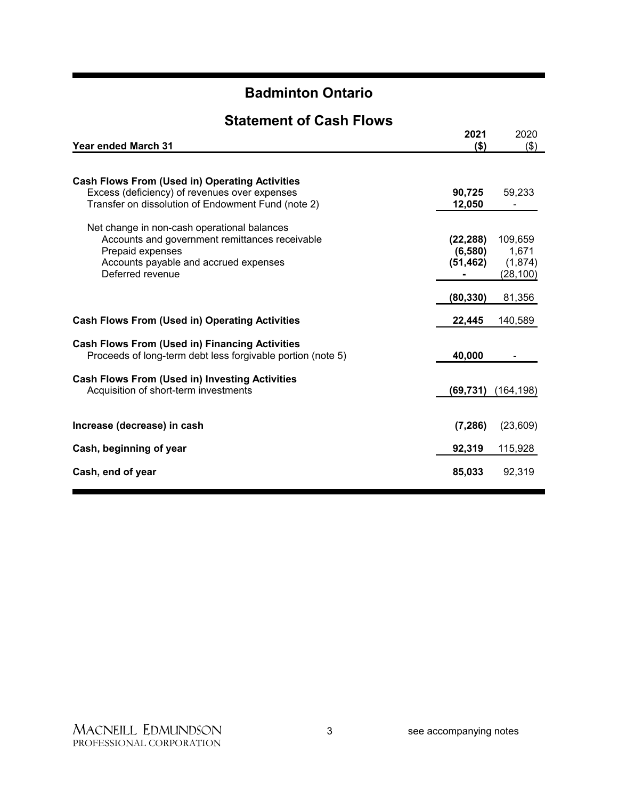### **Statement of Cash Flows**

| <b>Year ended March 31</b>                                                                                                                                                     | 2021<br>$($ \$)                    | 2020<br>\$)                             |
|--------------------------------------------------------------------------------------------------------------------------------------------------------------------------------|------------------------------------|-----------------------------------------|
| <b>Cash Flows From (Used in) Operating Activities</b><br>Excess (deficiency) of revenues over expenses<br>Transfer on dissolution of Endowment Fund (note 2)                   | 90,725<br>12,050                   | 59,233                                  |
| Net change in non-cash operational balances<br>Accounts and government remittances receivable<br>Prepaid expenses<br>Accounts payable and accrued expenses<br>Deferred revenue | (22, 288)<br>(6, 580)<br>(51, 462) | 109,659<br>1,671<br>(1,874)<br>(28,100) |
| <b>Cash Flows From (Used in) Operating Activities</b>                                                                                                                          | (80, 330)<br>22,445                | 81,356<br>140,589                       |
| <b>Cash Flows From (Used in) Financing Activities</b><br>Proceeds of long-term debt less forgivable portion (note 5)                                                           | 40,000                             |                                         |
| <b>Cash Flows From (Used in) Investing Activities</b><br>Acquisition of short-term investments                                                                                 | (69, 731)                          | (164, 198)                              |
| Increase (decrease) in cash                                                                                                                                                    | (7, 286)                           | (23,609)                                |
| Cash, beginning of year                                                                                                                                                        | 92,319                             | 115,928                                 |
| Cash, end of year                                                                                                                                                              | 85,033                             | 92,319                                  |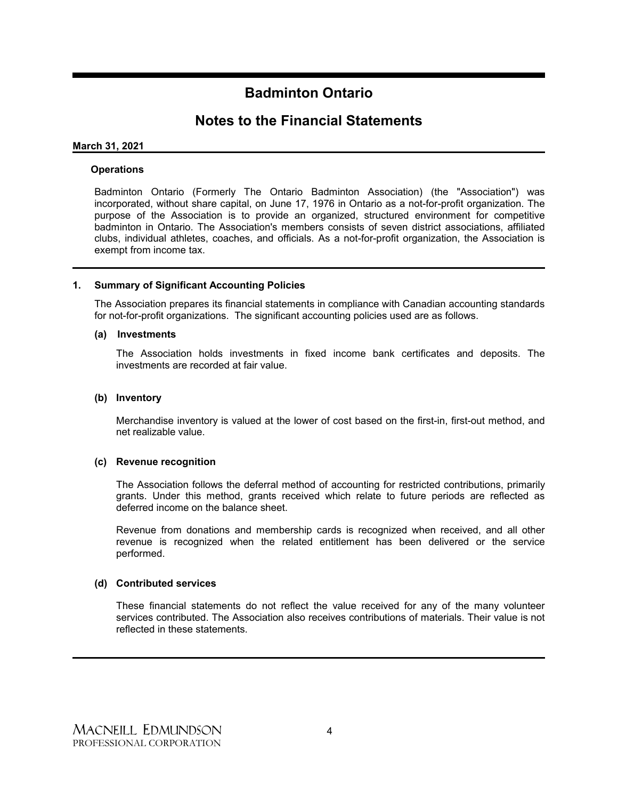### **Notes to the Financial Statements**

#### **March 31, 2021**

#### **Operations**

Badminton Ontario (Formerly The Ontario Badminton Association) (the "Association") was incorporated, without share capital, on June 17, 1976 in Ontario as a not-for-profit organization. The purpose of the Association is to provide an organized, structured environment for competitive badminton in Ontario. The Association's members consists of seven district associations, affiliated clubs, individual athletes, coaches, and officials. As a not-for-profit organization, the Association is exempt from income tax.

#### **1. Summary of Significant Accounting Policies**

The Association prepares its financial statements in compliance with Canadian accounting standards for not-for-profit organizations. The significant accounting policies used are as follows.

#### **(a) Investments**

The Association holds investments in fixed income bank certificates and deposits. The investments are recorded at fair value.

#### **(b) Inventory**

Merchandise inventory is valued at the lower of cost based on the first-in, first-out method, and net realizable value.

#### **(c) Revenue recognition**

The Association follows the deferral method of accounting for restricted contributions, primarily grants. Under this method, grants received which relate to future periods are reflected as deferred income on the balance sheet.

Revenue from donations and membership cards is recognized when received, and all other revenue is recognized when the related entitlement has been delivered or the service performed.

#### **(d) Contributed services**

These financial statements do not reflect the value received for any of the many volunteer services contributed. The Association also receives contributions of materials. Their value is not reflected in these statements.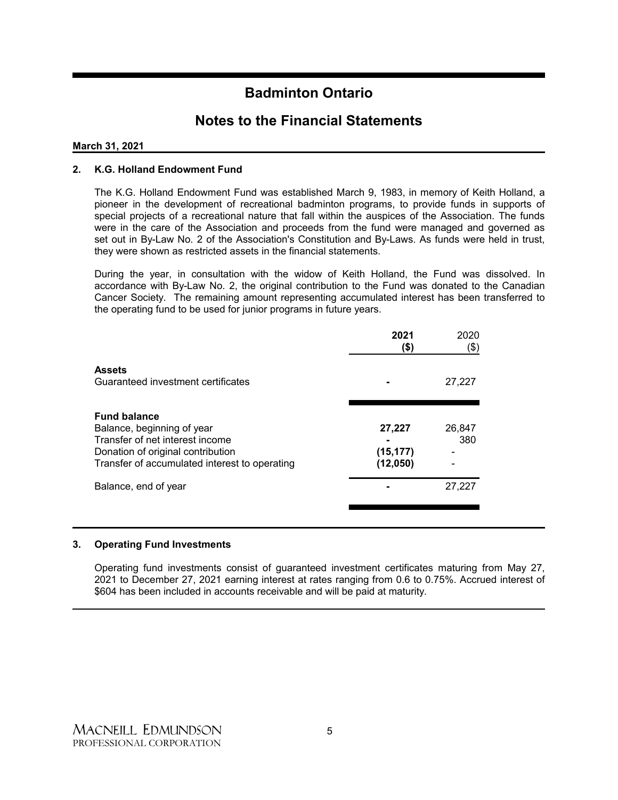### **Notes to the Financial Statements**

#### **March 31, 2021**

#### **2. K.G. Holland Endowment Fund**

The K.G. Holland Endowment Fund was established March 9, 1983, in memory of Keith Holland, a pioneer in the development of recreational badminton programs, to provide funds in supports of special projects of a recreational nature that fall within the auspices of the Association. The funds were in the care of the Association and proceeds from the fund were managed and governed as set out in By-Law No. 2 of the Association's Constitution and By-Laws. As funds were held in trust, they were shown as restricted assets in the financial statements.

 During the year, in consultation with the widow of Keith Holland, the Fund was dissolved. In accordance with By-Law No. 2, the original contribution to the Fund was donated to the Canadian Cancer Society. The remaining amount representing accumulated interest has been transferred to the operating fund to be used for junior programs in future years.

|                                                                                                                                                                            | 2021<br>(\$)                     | 2020<br>(\$)  |
|----------------------------------------------------------------------------------------------------------------------------------------------------------------------------|----------------------------------|---------------|
| <b>Assets</b><br>Guaranteed investment certificates                                                                                                                        |                                  | 27,227        |
| <b>Fund balance</b><br>Balance, beginning of year<br>Transfer of net interest income<br>Donation of original contribution<br>Transfer of accumulated interest to operating | 27,227<br>(15, 177)<br>(12, 050) | 26,847<br>380 |
| Balance, end of year                                                                                                                                                       |                                  | 27,227        |
|                                                                                                                                                                            |                                  |               |

#### **3. Operating Fund Investments**

Operating fund investments consist of guaranteed investment certificates maturing from May 27, 2021 to December 27, 2021 earning interest at rates ranging from 0.6 to 0.75%. Accrued interest of \$604 has been included in accounts receivable and will be paid at maturity.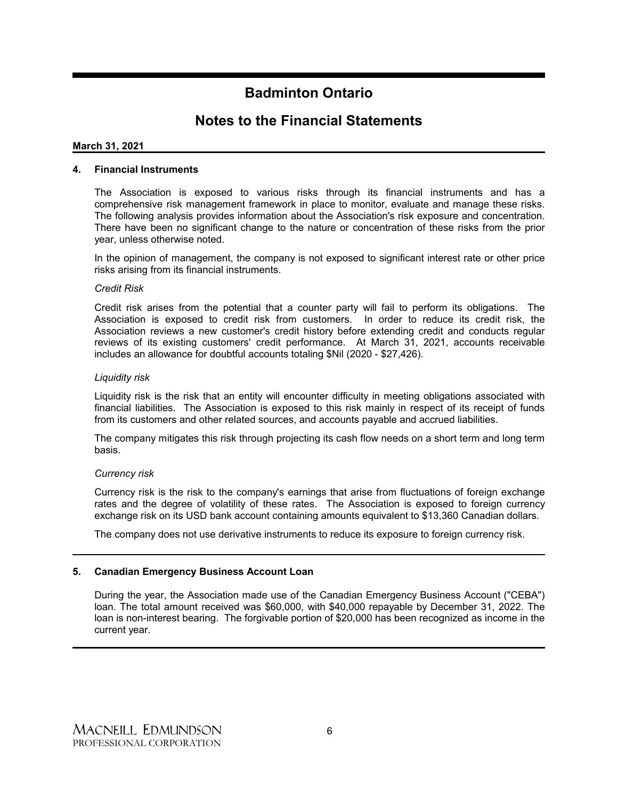### **Notes to the Financial Statements**

#### **March 31, 2021**

#### **4. Financial Instruments**

The Association is exposed to various risks through its financial instruments and has a comprehensive risk management framework in place to monitor, evaluate and manage these risks. The following analysis provides information about the Association's risk exposure and concentration. There have been no significant change to the nature or concentration of these risks from the prior year, unless otherwise noted.

In the opinion of management, the company is not exposed to significant interest rate or other price risks arising from its financial instruments.

#### *Credit Risk*

Credit risk arises from the potential that a counter party will fail to perform its obligations. The Association is exposed to credit risk from customers. In order to reduce its credit risk, the Association reviews a new customer's credit history before extending credit and conducts regular reviews of its existing customers' credit performance. At March 31, 2021, accounts receivable includes an allowance for doubtful accounts totaling \$Nil (2020 - \$27,426).

#### *Liquidity risk*

Liquidity risk is the risk that an entity will encounter difficulty in meeting obligations associated with financial liabilities. The Association is exposed to this risk mainly in respect of its receipt of funds from its customers and other related sources, and accounts payable and accrued liabilities.

The company mitigates this risk through projecting its cash flow needs on a short term and long term basis.

#### *Currency risk*

Currency risk is the risk to the company's earnings that arise from fluctuations of foreign exchange rates and the degree of volatility of these rates. The Association is exposed to foreign currency exchange risk on its USD bank account containing amounts equivalent to \$13,360 Canadian dollars.

The company does not use derivative instruments to reduce its exposure to foreign currency risk.

#### **5. Canadian Emergency Business Account Loan**

During the year, the Association made use of the Canadian Emergency Business Account ("CEBA") loan. The total amount received was \$60,000, with \$40,000 repayable by December 31, 2022. The loan is non-interest bearing. The forgivable portion of \$20,000 has been recognized as income in the current year.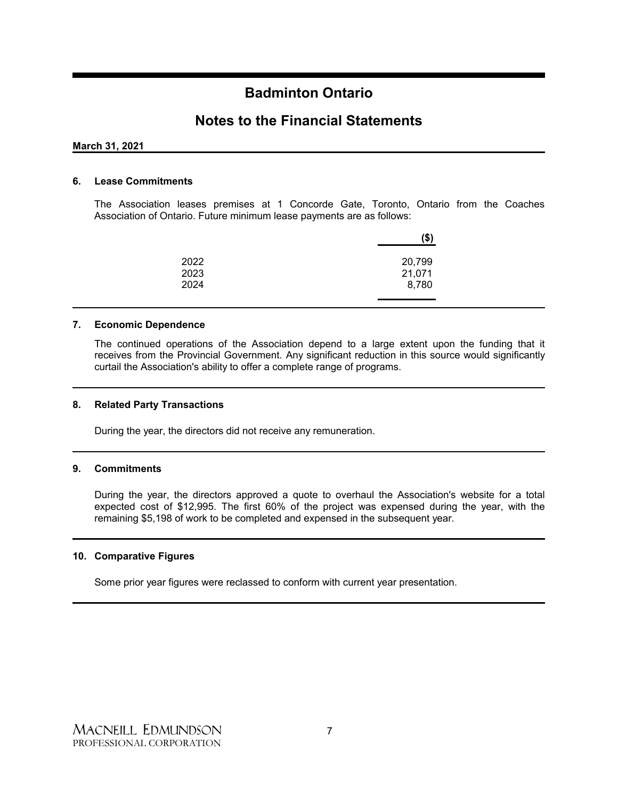### **Notes to the Financial Statements**

#### **March 31, 2021**

#### **6. Lease Commitments**

The Association leases premises at 1 Concorde Gate, Toronto, Ontario from the Coaches Association of Ontario. Future minimum lease payments are as follows:

|      | ( \$ ) |
|------|--------|
| 2022 | 20,799 |
| 2023 | 21,071 |
| 2024 | 8,780  |

#### **7. Economic Dependence**

The continued operations of the Association depend to a large extent upon the funding that it receives from the Provincial Government. Any significant reduction in this source would significantly curtail the Association's ability to offer a complete range of programs.

#### **8. Related Party Transactions**

During the year, the directors did not receive any remuneration.

#### **9. Commitments**

During the year, the directors approved a quote to overhaul the Association's website for a total expected cost of \$12,995. The first 60% of the project was expensed during the year, with the remaining \$5,198 of work to be completed and expensed in the subsequent year.

#### **10. Comparative Figures**

Some prior year figures were reclassed to conform with current year presentation.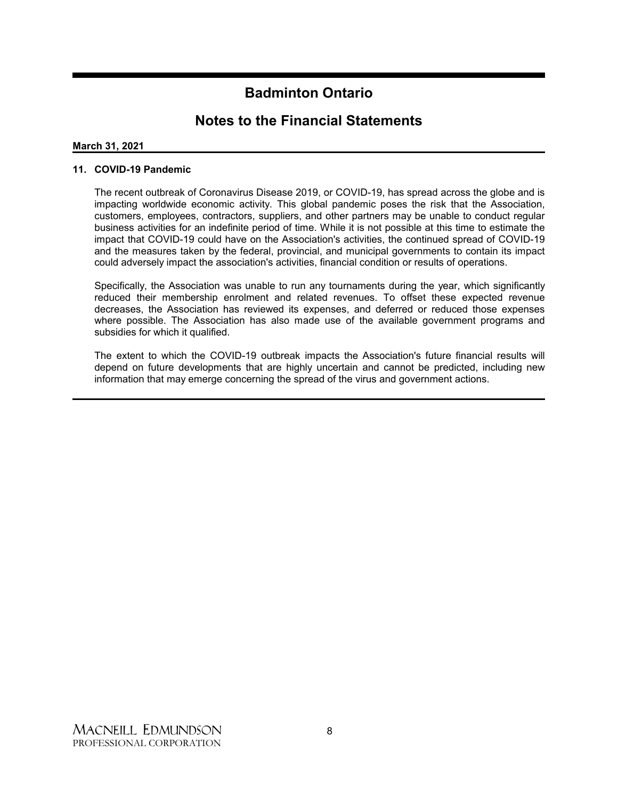### **Notes to the Financial Statements**

#### **March 31, 2021**

#### **11. COVID-19 Pandemic**

The recent outbreak of Coronavirus Disease 2019, or COVID-19, has spread across the globe and is impacting worldwide economic activity. This global pandemic poses the risk that the Association, customers, employees, contractors, suppliers, and other partners may be unable to conduct regular business activities for an indefinite period of time. While it is not possible at this time to estimate the impact that COVID-19 could have on the Association's activities, the continued spread of COVID-19 and the measures taken by the federal, provincial, and municipal governments to contain its impact could adversely impact the association's activities, financial condition or results of operations.

Specifically, the Association was unable to run any tournaments during the year, which significantly reduced their membership enrolment and related revenues. To offset these expected revenue decreases, the Association has reviewed its expenses, and deferred or reduced those expenses where possible. The Association has also made use of the available government programs and subsidies for which it qualified.

The extent to which the COVID-19 outbreak impacts the Association's future financial results will depend on future developments that are highly uncertain and cannot be predicted, including new information that may emerge concerning the spread of the virus and government actions.